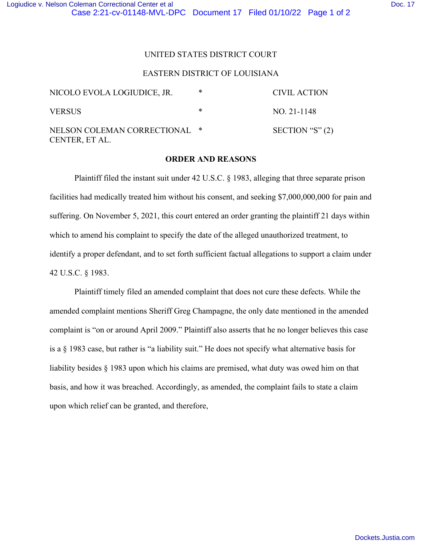## EASTERN DISTRICT OF LOUISIANA

| NICOLO EVOLA LOGIUDICE, JR.                     | * | CIVIL ACTION      |
|-------------------------------------------------|---|-------------------|
| <b>VERSUS</b>                                   | × | NO. 21-1148       |
| NELSON COLEMAN CORRECTIONAL *<br>CENTER, ET AL. |   | SECTION "S" $(2)$ |

## **ORDER AND REASONS**

Plaintiff filed the instant suit under 42 U.S.C. § 1983, alleging that three separate prison facilities had medically treated him without his consent, and seeking \$7,000,000,000 for pain and suffering. On November 5, 2021, this court entered an order granting the plaintiff 21 days within which to amend his complaint to specify the date of the alleged unauthorized treatment, to identify a proper defendant, and to set forth sufficient factual allegations to support a claim under 42 U.S.C. § 1983.

Plaintiff timely filed an amended complaint that does not cure these defects. While the amended complaint mentions Sheriff Greg Champagne, the only date mentioned in the amended complaint is "on or around April 2009." Plaintiff also asserts that he no longer believes this case is a § 1983 case, but rather is "a liability suit." He does not specify what alternative basis for liability besides § 1983 upon which his claims are premised, what duty was owed him on that basis, and how it was breached. Accordingly, as amended, the complaint fails to state a claim upon which relief can be granted, and therefore,